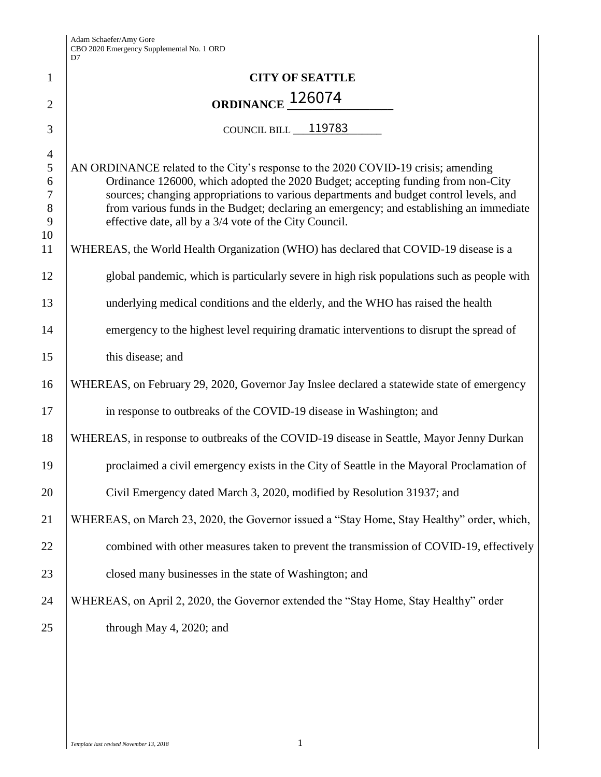| $\mathbf{1}$                                                         | <b>CITY OF SEATTLE</b>                                                                                                                                                                                                                                                                                                                                                                                                                                                                                                                                                                                     |
|----------------------------------------------------------------------|------------------------------------------------------------------------------------------------------------------------------------------------------------------------------------------------------------------------------------------------------------------------------------------------------------------------------------------------------------------------------------------------------------------------------------------------------------------------------------------------------------------------------------------------------------------------------------------------------------|
| $\overline{2}$                                                       | ORDINANCE 126074                                                                                                                                                                                                                                                                                                                                                                                                                                                                                                                                                                                           |
| 3                                                                    | COUNCIL BILL 119783                                                                                                                                                                                                                                                                                                                                                                                                                                                                                                                                                                                        |
| $\overline{4}$<br>5<br>6<br>$\tau$<br>$\,8\,$<br>9<br>10<br>11<br>12 | AN ORDINANCE related to the City's response to the 2020 COVID-19 crisis; amending<br>Ordinance 126000, which adopted the 2020 Budget; accepting funding from non-City<br>sources; changing appropriations to various departments and budget control levels, and<br>from various funds in the Budget; declaring an emergency; and establishing an immediate<br>effective date, all by a 3/4 vote of the City Council.<br>WHEREAS, the World Health Organization (WHO) has declared that COVID-19 disease is a<br>global pandemic, which is particularly severe in high risk populations such as people with |
| 13                                                                   | underlying medical conditions and the elderly, and the WHO has raised the health                                                                                                                                                                                                                                                                                                                                                                                                                                                                                                                           |
| 14<br>15                                                             | emergency to the highest level requiring dramatic interventions to disrupt the spread of<br>this disease; and                                                                                                                                                                                                                                                                                                                                                                                                                                                                                              |
| 16                                                                   | WHEREAS, on February 29, 2020, Governor Jay Inslee declared a statewide state of emergency                                                                                                                                                                                                                                                                                                                                                                                                                                                                                                                 |
| 17                                                                   | in response to outbreaks of the COVID-19 disease in Washington; and                                                                                                                                                                                                                                                                                                                                                                                                                                                                                                                                        |
| 18                                                                   | WHEREAS, in response to outbreaks of the COVID-19 disease in Seattle, Mayor Jenny Durkan                                                                                                                                                                                                                                                                                                                                                                                                                                                                                                                   |
| 19                                                                   | proclaimed a civil emergency exists in the City of Seattle in the Mayoral Proclamation of                                                                                                                                                                                                                                                                                                                                                                                                                                                                                                                  |
| 20                                                                   | Civil Emergency dated March 3, 2020, modified by Resolution 31937; and                                                                                                                                                                                                                                                                                                                                                                                                                                                                                                                                     |
| 21                                                                   | WHEREAS, on March 23, 2020, the Governor issued a "Stay Home, Stay Healthy" order, which,                                                                                                                                                                                                                                                                                                                                                                                                                                                                                                                  |
| 22                                                                   | combined with other measures taken to prevent the transmission of COVID-19, effectively                                                                                                                                                                                                                                                                                                                                                                                                                                                                                                                    |
| 23                                                                   | closed many businesses in the state of Washington; and                                                                                                                                                                                                                                                                                                                                                                                                                                                                                                                                                     |
| 24                                                                   | WHEREAS, on April 2, 2020, the Governor extended the "Stay Home, Stay Healthy" order                                                                                                                                                                                                                                                                                                                                                                                                                                                                                                                       |
| 25                                                                   | through May 4, 2020; and                                                                                                                                                                                                                                                                                                                                                                                                                                                                                                                                                                                   |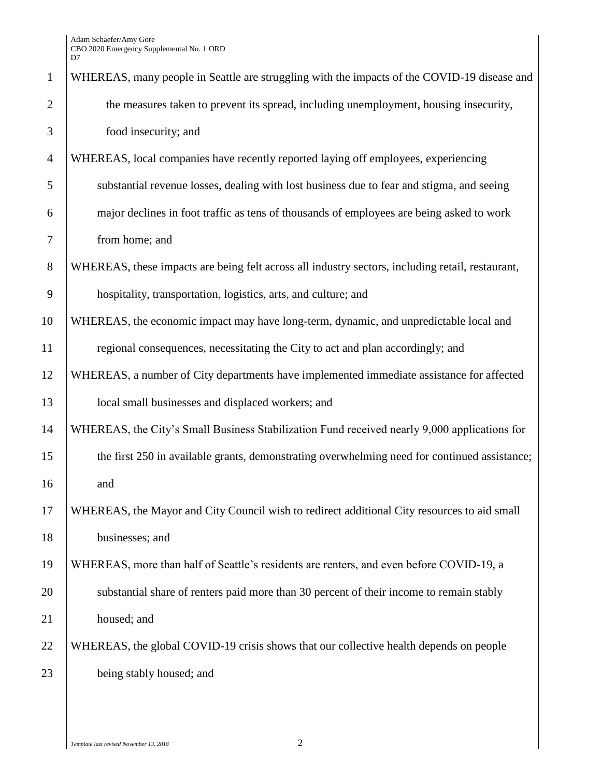| $\mathbf{1}$   | WHEREAS, many people in Seattle are struggling with the impacts of the COVID-19 disease and      |
|----------------|--------------------------------------------------------------------------------------------------|
| $\overline{2}$ | the measures taken to prevent its spread, including unemployment, housing insecurity,            |
| 3              | food insecurity; and                                                                             |
| $\overline{4}$ | WHEREAS, local companies have recently reported laying off employees, experiencing               |
| 5              | substantial revenue losses, dealing with lost business due to fear and stigma, and seeing        |
| 6              | major declines in foot traffic as tens of thousands of employees are being asked to work         |
| 7              | from home; and                                                                                   |
| $8\,$          | WHEREAS, these impacts are being felt across all industry sectors, including retail, restaurant, |
| 9              | hospitality, transportation, logistics, arts, and culture; and                                   |
| 10             | WHEREAS, the economic impact may have long-term, dynamic, and unpredictable local and            |
| 11             | regional consequences, necessitating the City to act and plan accordingly; and                   |
| 12             | WHEREAS, a number of City departments have implemented immediate assistance for affected         |
| 13             | local small businesses and displaced workers; and                                                |
| 14             | WHEREAS, the City's Small Business Stabilization Fund received nearly 9,000 applications for     |
| 15             | the first 250 in available grants, demonstrating overwhelming need for continued assistance;     |
| 16             | and                                                                                              |
| 17             | WHEREAS, the Mayor and City Council wish to redirect additional City resources to aid small      |
| 18             | businesses; and                                                                                  |
| 19             | WHEREAS, more than half of Seattle's residents are renters, and even before COVID-19, a          |
| 20             | substantial share of renters paid more than 30 percent of their income to remain stably          |
| 21             | housed; and                                                                                      |
| 22             | WHEREAS, the global COVID-19 crisis shows that our collective health depends on people           |
| 23             | being stably housed; and                                                                         |
|                |                                                                                                  |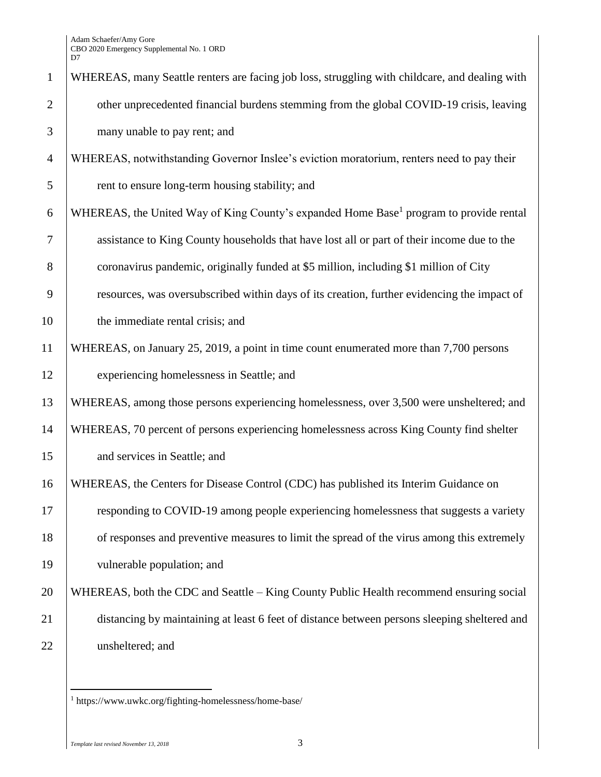Adam Schaefer/Amy Gore CBO 2020 Emergency Supplemental No. 1 ORD D7

| $\mathbf{1}$   | WHEREAS, many Seattle renters are facing job loss, struggling with childcare, and dealing with     |
|----------------|----------------------------------------------------------------------------------------------------|
| $\overline{2}$ | other unprecedented financial burdens stemming from the global COVID-19 crisis, leaving            |
| 3              | many unable to pay rent; and                                                                       |
| $\overline{4}$ | WHEREAS, notwithstanding Governor Inslee's eviction moratorium, renters need to pay their          |
| 5              | rent to ensure long-term housing stability; and                                                    |
| 6              | WHEREAS, the United Way of King County's expanded Home Base <sup>1</sup> program to provide rental |
| 7              | assistance to King County households that have lost all or part of their income due to the         |
| 8              | coronavirus pandemic, originally funded at \$5 million, including \$1 million of City              |
| 9              | resources, was oversubscribed within days of its creation, further evidencing the impact of        |
| 10             | the immediate rental crisis; and                                                                   |
| 11             | WHEREAS, on January 25, 2019, a point in time count enumerated more than 7,700 persons             |
| 12             | experiencing homelessness in Seattle; and                                                          |
| 13             | WHEREAS, among those persons experiencing homelessness, over 3,500 were unsheltered; and           |
| 14             | WHEREAS, 70 percent of persons experiencing homelessness across King County find shelter           |
| 15             | and services in Seattle; and                                                                       |
| 16             | WHEREAS, the Centers for Disease Control (CDC) has published its Interim Guidance on               |
| 17             | responding to COVID-19 among people experiencing homelessness that suggests a variety              |
| 18             | of responses and preventive measures to limit the spread of the virus among this extremely         |
| 19             | vulnerable population; and                                                                         |
| 20             | WHEREAS, both the CDC and Seattle – King County Public Health recommend ensuring social            |
| 21             | distancing by maintaining at least 6 feet of distance between persons sleeping sheltered and       |
| 22             | unsheltered; and                                                                                   |

https://www.uwkc.org/fighting-homelessness/home-base/

 $\overline{a}$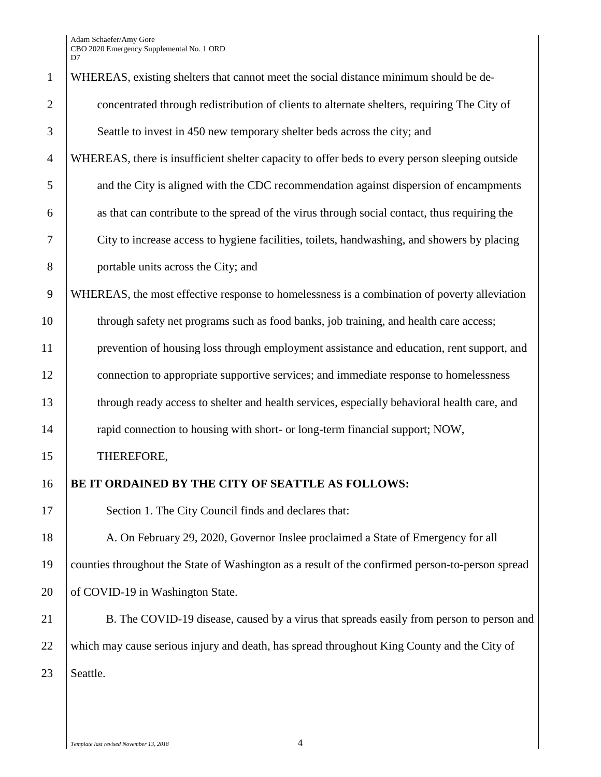Adam Schaefer/Amy Gore CBO 2020 Emergency Supplemental No. 1 ORD D7

| $\mathbf{1}$   | WHEREAS, existing shelters that cannot meet the social distance minimum should be de-            |
|----------------|--------------------------------------------------------------------------------------------------|
| $\overline{2}$ | concentrated through redistribution of clients to alternate shelters, requiring The City of      |
| 3              | Seattle to invest in 450 new temporary shelter beds across the city; and                         |
| $\overline{4}$ | WHEREAS, there is insufficient shelter capacity to offer beds to every person sleeping outside   |
| 5              | and the City is aligned with the CDC recommendation against dispersion of encampments            |
| 6              | as that can contribute to the spread of the virus through social contact, thus requiring the     |
| $\tau$         | City to increase access to hygiene facilities, toilets, handwashing, and showers by placing      |
| $8\,$          | portable units across the City; and                                                              |
| 9              | WHEREAS, the most effective response to homelessness is a combination of poverty alleviation     |
| 10             | through safety net programs such as food banks, job training, and health care access;            |
| 11             | prevention of housing loss through employment assistance and education, rent support, and        |
| 12             | connection to appropriate supportive services; and immediate response to homelessness            |
| 13             | through ready access to shelter and health services, especially behavioral health care, and      |
| 14             | rapid connection to housing with short- or long-term financial support; NOW,                     |
| 15             | THEREFORE,                                                                                       |
| 16             | BE IT ORDAINED BY THE CITY OF SEATTLE AS FOLLOWS:                                                |
| 17             | Section 1. The City Council finds and declares that:                                             |
| 18             | A. On February 29, 2020, Governor Inslee proclaimed a State of Emergency for all                 |
| 19             | counties throughout the State of Washington as a result of the confirmed person-to-person spread |
| 20             | of COVID-19 in Washington State.                                                                 |
| 21             | B. The COVID-19 disease, caused by a virus that spreads easily from person to person and         |
| 22             | which may cause serious injury and death, has spread throughout King County and the City of      |
| 23             | Seattle.                                                                                         |
|                |                                                                                                  |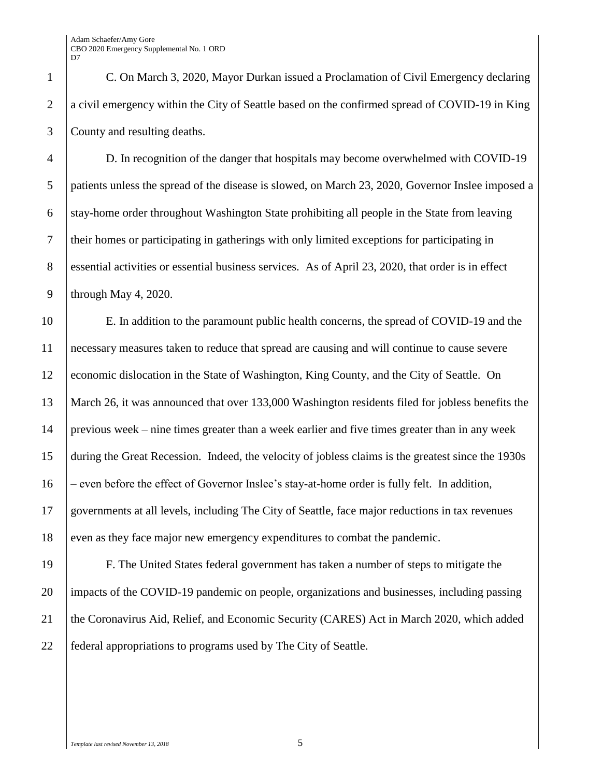C. On March 3, 2020, Mayor Durkan issued a Proclamation of Civil Emergency declaring a civil emergency within the City of Seattle based on the confirmed spread of COVID-19 in King County and resulting deaths.

 D. In recognition of the danger that hospitals may become overwhelmed with COVID-19 patients unless the spread of the disease is slowed, on March 23, 2020, Governor Inslee imposed a 6 stay-home order throughout Washington State prohibiting all people in the State from leaving their homes or participating in gatherings with only limited exceptions for participating in essential activities or essential business services. As of April 23, 2020, that order is in effect 9 | through May 4, 2020.

 E. In addition to the paramount public health concerns, the spread of COVID-19 and the necessary measures taken to reduce that spread are causing and will continue to cause severe 12 economic dislocation in the State of Washington, King County, and the City of Seattle. On March 26, it was announced that over 133,000 Washington residents filed for jobless benefits the previous week – nine times greater than a week earlier and five times greater than in any week during the Great Recession. Indeed, the velocity of jobless claims is the greatest since the 1930s – even before the effect of Governor Inslee's stay-at-home order is fully felt. In addition, governments at all levels, including The City of Seattle, face major reductions in tax revenues 18 even as they face major new emergency expenditures to combat the pandemic.

 F. The United States federal government has taken a number of steps to mitigate the impacts of the COVID-19 pandemic on people, organizations and businesses, including passing 21 the Coronavirus Aid, Relief, and Economic Security (CARES) Act in March 2020, which added federal appropriations to programs used by The City of Seattle.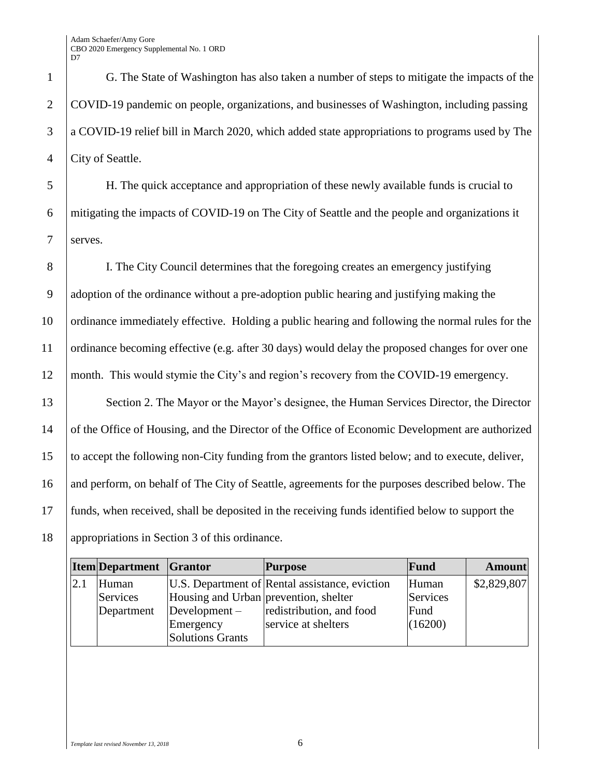Adam Schaefer/Amy Gore CBO 2020 Emergency Supplemental No. 1 ORD D<sub>7</sub>

 G. The State of Washington has also taken a number of steps to mitigate the impacts of the COVID-19 pandemic on people, organizations, and businesses of Washington, including passing a COVID-19 relief bill in March 2020, which added state appropriations to programs used by The 4 City of Seattle.

5 H. The quick acceptance and appropriation of these newly available funds is crucial to 6 mitigating the impacts of COVID-19 on The City of Seattle and the people and organizations it 7 serves.

 I. The City Council determines that the foregoing creates an emergency justifying adoption of the ordinance without a pre-adoption public hearing and justifying making the ordinance immediately effective. Holding a public hearing and following the normal rules for the ordinance becoming effective (e.g. after 30 days) would delay the proposed changes for over one month. This would stymie the City's and region's recovery from the COVID-19 emergency.

13 Section 2. The Mayor or the Mayor's designee, the Human Services Director, the Director of the Office of Housing, and the Director of the Office of Economic Development are authorized to accept the following non-City funding from the grantors listed below; and to execute, deliver, 16 and perform, on behalf of The City of Seattle, agreements for the purposes described below. The funds, when received, shall be deposited in the receiving funds identified below to support the appropriations in Section 3 of this ordinance.

|     | <b>Item</b> Department Grantor |                                       | <b>Purpose</b>                                 | Fund     | <b>Amount</b> |
|-----|--------------------------------|---------------------------------------|------------------------------------------------|----------|---------------|
| 2.1 | Human                          |                                       | U.S. Department of Rental assistance, eviction | Human    | \$2,829,807   |
|     | Services                       | Housing and Urban prevention, shelter |                                                | Services |               |
|     | Department                     | Development $-$                       | redistribution, and food                       | Fund     |               |
|     |                                | Emergency                             | service at shelters                            | (16200)  |               |
|     |                                | <b>Solutions Grants</b>               |                                                |          |               |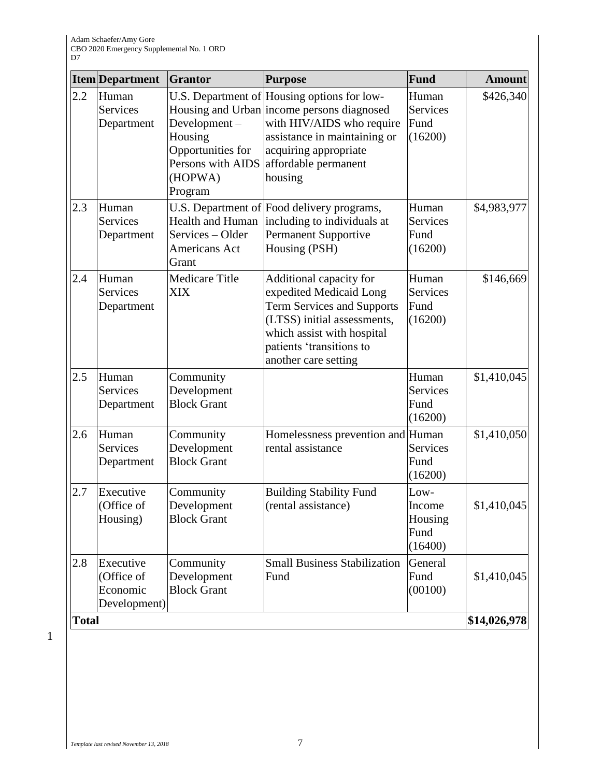|              | <b>Item</b> Department                              | Grantor                                                                                 | <b>Purpose</b>                                                                                                                                                                                                     | Fund                                         | <b>Amount</b> |
|--------------|-----------------------------------------------------|-----------------------------------------------------------------------------------------|--------------------------------------------------------------------------------------------------------------------------------------------------------------------------------------------------------------------|----------------------------------------------|---------------|
| 2.2          | Human<br><b>Services</b><br>Department              | Development-<br>Housing<br>Opportunities for<br>Persons with AIDS<br>(HOPWA)<br>Program | U.S. Department of Housing options for low-<br>Housing and Urban income persons diagnosed<br>with HIV/AIDS who require<br>assistance in maintaining or<br>acquiring appropriate<br>affordable permanent<br>housing | Human<br><b>Services</b><br>Fund<br>(16200)  | \$426,340     |
| 2.3          | Human<br><b>Services</b><br>Department              | <b>Health and Human</b><br>Services - Older<br>Americans Act<br>Grant                   | U.S. Department of Food delivery programs,<br>including to individuals at<br>Permanent Supportive<br>Housing (PSH)                                                                                                 | Human<br><b>Services</b><br>Fund<br>(16200)  | \$4,983,977   |
| 2.4          | Human<br><b>Services</b><br>Department              | <b>Medicare Title</b><br><b>XIX</b>                                                     | Additional capacity for<br>expedited Medicaid Long<br>Term Services and Supports<br>(LTSS) initial assessments,<br>which assist with hospital<br>patients 'transitions to<br>another care setting                  | Human<br><b>Services</b><br>Fund<br>(16200)  | \$146,669     |
| 2.5          | Human<br><b>Services</b><br>Department              | Community<br>Development<br><b>Block Grant</b>                                          |                                                                                                                                                                                                                    | Human<br><b>Services</b><br>Fund<br>(16200)  | \$1,410,045   |
| 2.6          | Human<br><b>Services</b><br>Department              | Community<br>Development<br><b>Block Grant</b>                                          | Homelessness prevention and Human<br>rental assistance                                                                                                                                                             | <b>Services</b><br>Fund<br>(16200)           | \$1,410,050   |
| 2.7          | Executive<br>(Office of<br>Housing)                 | Community<br>Development<br><b>Block Grant</b>                                          | <b>Building Stability Fund</b><br>(rental assistance)                                                                                                                                                              | Low-<br>Income<br>Housing<br>Fund<br>(16400) | \$1,410,045   |
| 2.8          | Executive<br>(Office of<br>Economic<br>Development) | Community<br>Development<br><b>Block Grant</b>                                          | <b>Small Business Stabilization</b><br>Fund                                                                                                                                                                        | General<br>Fund<br>(00100)                   | \$1,410,045   |
| <b>Total</b> |                                                     |                                                                                         |                                                                                                                                                                                                                    |                                              | \$14,026,978  |

1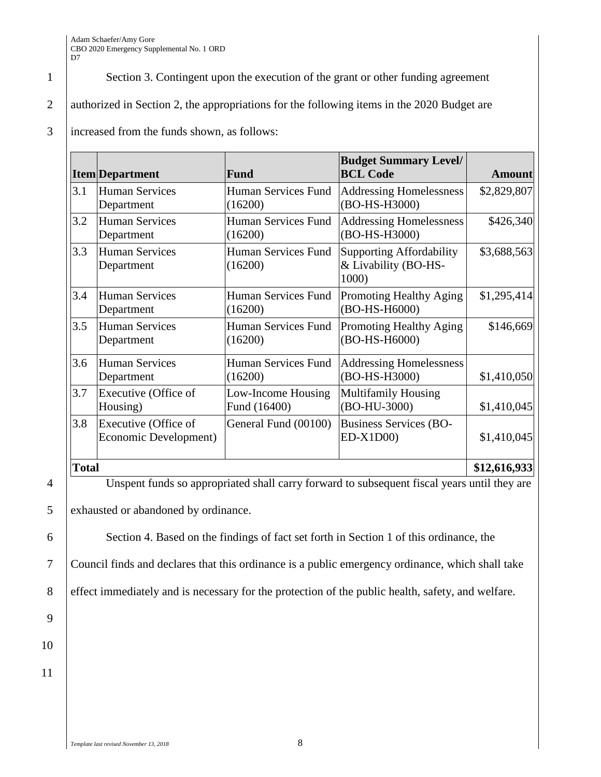1 Section 3. Contingent upon the execution of the grant or other funding agreement

2 authorized in Section 2, the appropriations for the following items in the 2020 Budget are

## 3 increased from the funds shown, as follows:

|              | <b>Item</b> Department                        | Fund                               | <b>Budget Summary Level/</b><br><b>BCL Code</b>           | <b>Amount</b> |
|--------------|-----------------------------------------------|------------------------------------|-----------------------------------------------------------|---------------|
| 3.1          | <b>Human Services</b><br>Department           | Human Services Fund<br>(16200)     | <b>Addressing Homelessness</b><br>(BO-HS-H3000)           | \$2,829,807   |
| 3.2          | Human Services<br>Department                  | Human Services Fund<br>(16200)     | <b>Addressing Homelessness</b><br>(BO-HS-H3000)           | \$426,340     |
| 3.3          | <b>Human Services</b><br>Department           | Human Services Fund<br>(16200)     | Supporting Affordability<br>& Livability (BO-HS-<br>1000) | \$3,688,563   |
| 3.4          | <b>Human Services</b><br>Department           | Human Services Fund<br>(16200)     | <b>Promoting Healthy Aging</b><br>(BO-HS-H6000)           | \$1,295,414   |
| 3.5          | <b>Human Services</b><br>Department           | Human Services Fund<br>(16200)     | Promoting Healthy Aging<br>(BO-HS-H6000)                  | \$146,669     |
| 3.6          | <b>Human Services</b><br>Department           | Human Services Fund<br>(16200)     | <b>Addressing Homelessness</b><br>(BO-HS-H3000)           | \$1,410,050   |
| 3.7          | Executive (Office of<br>Housing)              | Low-Income Housing<br>Fund (16400) | <b>Multifamily Housing</b><br>(BO-HU-3000)                | \$1,410,045   |
| 3.8          | Executive (Office of<br>Economic Development) | General Fund (00100)               | <b>Business Services (BO-</b><br>$ED-X1D00$               | \$1,410,045   |
| <b>Total</b> |                                               |                                    |                                                           | \$12,616,933  |

4 Unspent funds so appropriated shall carry forward to subsequent fiscal years until they are

5 exhausted or abandoned by ordinance.

6 Section 4. Based on the findings of fact set forth in Section 1 of this ordinance, the

7 Council finds and declares that this ordinance is a public emergency ordinance, which shall take

8 effect immediately and is necessary for the protection of the public health, safety, and welfare.

9

10 11